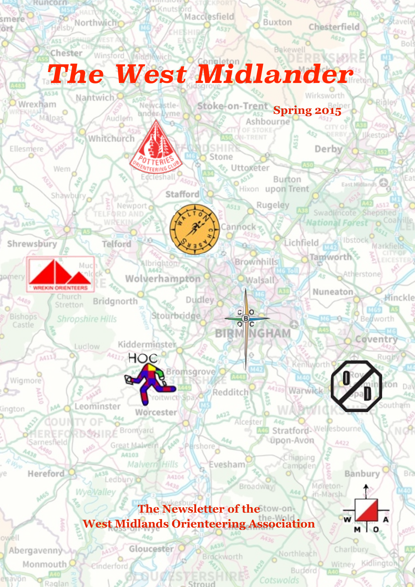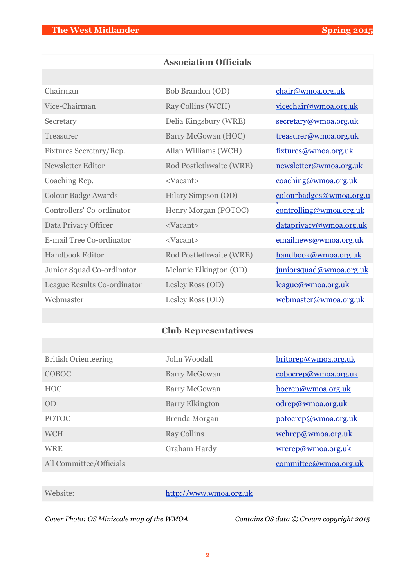# **Association Officials**

| Chairman                    | Bob Brandon (OD)        | chair@wmoa.org.uk       |
|-----------------------------|-------------------------|-------------------------|
| Vice-Chairman               | Ray Collins (WCH)       | vicechair@wmoa.org.uk   |
| Secretary                   | Delia Kingsbury (WRE)   | secretary@wmoa.org.uk   |
| <b>Treasurer</b>            | Barry McGowan (HOC)     | treasurer@wmoa.org.uk   |
| Fixtures Secretary/Rep.     | Allan Williams (WCH)    | fixtures@wmoa.org.uk    |
| Newsletter Editor           | Rod Postlethwaite (WRE) | newsletter@wmoa.org.uk  |
| Coaching Rep.               | <vacant></vacant>       | coaching@wmoa.org.uk    |
| <b>Colour Badge Awards</b>  | Hilary Simpson (OD)     | colourbadges@wmoa.org.u |
| Controllers' Co-ordinator   | Henry Morgan (POTOC)    | controlling@wmoa.org.uk |
| Data Privacy Officer        | <vacant></vacant>       | dataprivacy@wmoa.org.uk |
| E-mail Tree Co-ordinator    | <vacant></vacant>       | emailnews@wmoa.org.uk   |
| Handbook Editor             | Rod Postlethwaite (WRE) | handbook@wmoa.org.uk    |
| Junior Squad Co-ordinator   | Melanie Elkington (OD)  | juniorsquad@wmoa.org.uk |
| League Results Co-ordinator | Lesley Ross (OD)        | league@wmoa.org.uk      |
| Webmaster                   | Lesley Ross (OD)        | webmaster@wmoa.org.uk   |

# **Club Representatives**

| <b>British Orienteering</b> | John Woodall           | britorep@wmoa.org.uk |
|-----------------------------|------------------------|----------------------|
| COBOC                       | <b>Barry McGowan</b>   | cobocrep@wmoa.org.uk |
| <b>HOC</b>                  | <b>Barry McGowan</b>   | hocrep@wmoa.org.uk   |
| OD                          | <b>Barry Elkington</b> | odrep@wmoa.org.uk    |
| <b>POTOC</b>                | Brenda Morgan          | potocrep@wmoa.org.uk |
| <b>WCH</b>                  | <b>Ray Collins</b>     | wchrep@wmoa.org.uk   |
| <b>WRE</b>                  | Graham Hardy           | wrerep@wmoa.org.uk   |
| All Committee/Officials     |                        | committe@wmoa.org.uk |

# Website: <http://www.wmoa.org.uk>

*Cover Photo: OS Miniscale map of the WMOA Contains OS data © Crown copyright 2015*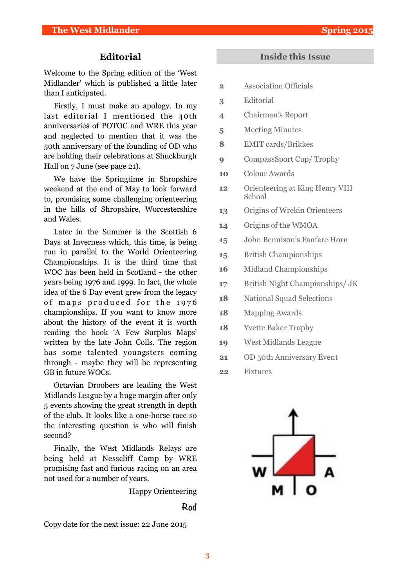## **Editorial**

Welcome to the Spring edition of the 'West Midlander' which is published a little later than I anticipated.

Firstly, I must make an apology. In my last editorial I mentioned the 40th anniversaries of POTOC and WRE this year and neglected to mention that it was the 50th anniversary of the founding of OD who are holding their celebrations at Shuckburgh Hall on 7 June (see page 21).

We have the Springtime in Shropshire weekend at the end of May to look forward to, promising some challenging orienteering in the hills of Shropshire, Worcestershire and Wales.

Later in the Summer is the Scottish 6 Days at Inverness which, this time, is being run in parallel to the World Orienteering Championships. It is the third time that WOC has been held in Scotland - the other years being 1976 and 1999. In fact, the whole idea of the 6 Day event grew from the legacy of maps produced for the 1976 championships. If you want to know more about the history of the event it is worth reading the book 'A Few Surplus Maps' written by the late John Colls. The region has some talented youngsters coming through - maybe they will be representing GB in future WOCs.

Octavian Droobers are leading the West Midlands League by a huge margin after only 5 events showing the great strength in depth of the club. It looks like a one-horse race so the interesting question is who will finish second?

Finally, the West Midlands Relays are being held at Nesscliff Camp by WRE promising fast and furious racing on an area not used for a number of years.

Happy Orienteering

#### **Rod**

Copy date for the next issue: 22 June 2015

### **Inside this Issue**

- **2** Association Officials
- **3** Editorial
- **4** Chairman's Report
- **5** Meeting Minutes
- **8** EMIT cards/Brikkes
- **9** CompassSport Cup/ Trophy
- **10** Colour Awards
- **12** Orienteering at King Henry VIII School
- **13** Origins of Wrekin Orienteers
- **14** Origins of the WMOA
- **15** John Bennison's Fanfare Horn
- **15** British Championships
- **16** Midland Championships
- **17** British Night Championships/ JK
- **18** National Squad Selections
- **18** Mapping Awards
- **18** Yvette Baker Trophy
- **19** West Midlands League
- **21** OD 50th Anniversary Event
- **22** Fixtures

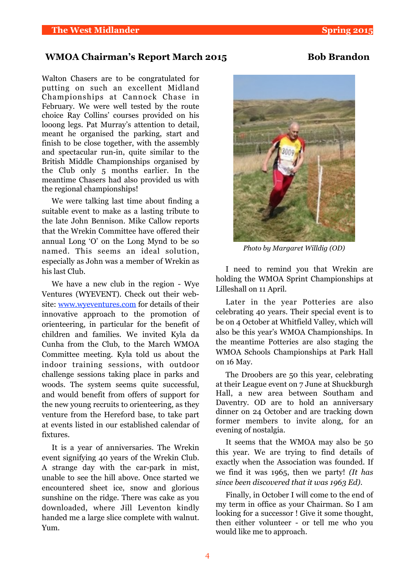### WMOA Chairman's Report March 2015 **Bob Brandon**

Walton Chasers are to be congratulated for putting on such an excellent Midland Championships at Cannock Chase in February. We were well tested by the route choice Ray Collins' courses provided on his looong legs. Pat Murray's attention to detail, meant he organised the parking, start and finish to be close together, with the assembly and spectacular run-in, quite similar to the British Middle Championships organised by the Club only 5 months earlier. In the meantime Chasers had also provided us with the regional championships!

We were talking last time about finding a suitable event to make as a lasting tribute to the late John Bennison. Mike Callow reports that the Wrekin Committee have offered their annual Long 'O' on the Long Mynd to be so named. This seems an ideal solution, especially as John was a member of Wrekin as his last Club.

We have a new club in the region - Wye Ventures (WYEVENT). Check out their website: [www.wyeventures.com](http://www.wyeventures.com) for details of their innovative approach to the promotion of orienteering, in particular for the benefit of children and families. We invited Kyla da Cunha from the Club, to the March WMOA Committee meeting. Kyla told us about the indoor training sessions, with outdoor challenge sessions taking place in parks and woods. The system seems quite successful, and would benefit from offers of support for the new young recruits to orienteering, as they venture from the Hereford base, to take part at events listed in our established calendar of fixtures.

It is a year of anniversaries. The Wrekin event signifying 40 years of the Wrekin Club. A strange day with the car-park in mist, unable to see the hill above. Once started we encountered sheet ice, snow and glorious sunshine on the ridge. There was cake as you downloaded, where Jill Leventon kindly handed me a large slice complete with walnut. Yum.



*Photo by Margaret Willdig (OD)*

I need to remind you that Wrekin are holding the WMOA Sprint Championships at Lilleshall on 11 April.

Later in the year Potteries are also celebrating 40 years. Their special event is to be on 4 October at Whitfield Valley, which will also be this year's WMOA Championships. In the meantime Potteries are also staging the WMOA Schools Championships at Park Hall on 16 May.

The Droobers are 50 this year, celebrating at their League event on 7 June at Shuckburgh Hall, a new area between Southam and Daventry. OD are to hold an anniversary dinner on 24 October and are tracking down former members to invite along, for an evening of nostalgia.

It seems that the WMOA may also be 50 this year. We are trying to find details of exactly when the Association was founded. If we find it was 1965, then we party! *(It has since been discovered that it was 1963 Ed)*.

Finally, in October I will come to the end of my term in office as your Chairman. So I am looking for a successor ! Give it some thought, then either volunteer - or tell me who you would like me to approach.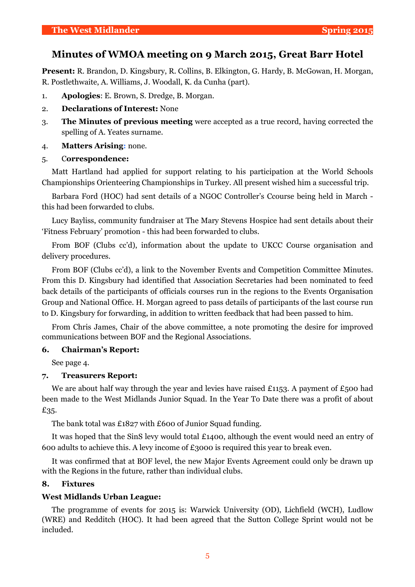# **Minutes of WMOA meeting on 9 March 2015, Great Barr Hotel**

**Present:** R. Brandon, D. Kingsbury, R. Collins, B. Elkington, G. Hardy, B. McGowan, H. Morgan, R. Postlethwaite, A. Williams, J. Woodall, K. da Cunha (part).

- 1. **Apologies**: E. Brown, S. Dredge, B. Morgan.
- 2. **Declarations of Interest:** None
- 3. **The Minutes of previous meeting** were accepted as a true record, having corrected the spelling of A. Yeates surname.
- 4. **Matters Arising:** none.

#### 5. C**orrespondence:**

Matt Hartland had applied for support relating to his participation at the World Schools Championships Orienteering Championships in Turkey. All present wished him a successful trip.

Barbara Ford (HOC) had sent details of a NGOC Controller's Ccourse being held in March this had been forwarded to clubs.

Lucy Bayliss, community fundraiser at The Mary Stevens Hospice had sent details about their 'Fitness February' promotion - this had been forwarded to clubs.

From BOF (Clubs cc'd), information about the update to UKCC Course organisation and delivery procedures.

From BOF (Clubs cc'd), a link to the November Events and Competition Committee Minutes. From this D. Kingsbury had identified that Association Secretaries had been nominated to feed back details of the participants of officials courses run in the regions to the Events Organisation Group and National Office. H. Morgan agreed to pass details of participants of the last course run to D. Kingsbury for forwarding, in addition to written feedback that had been passed to him.

From Chris James, Chair of the above committee, a note promoting the desire for improved communications between BOF and the Regional Associations.

#### **6. Chairman's Report:**

See page 4.

### **7. Treasurers Report:**

We are about half way through the year and levies have raised £1153. A payment of £500 had been made to the West Midlands Junior Squad. In the Year To Date there was a profit of about £35.

The bank total was £1827 with £600 of Junior Squad funding.

It was hoped that the SinS levy would total £1400, although the event would need an entry of 600 adults to achieve this. A levy income of £3000 is required this year to break even.

It was confirmed that at BOF level, the new Major Events Agreement could only be drawn up with the Regions in the future, rather than individual clubs.

#### **8. Fixtures**

#### **West Midlands Urban League:**

The programme of events for 2015 is: Warwick University (OD), Lichfield (WCH), Ludlow (WRE) and Redditch (HOC). It had been agreed that the Sutton College Sprint would not be included.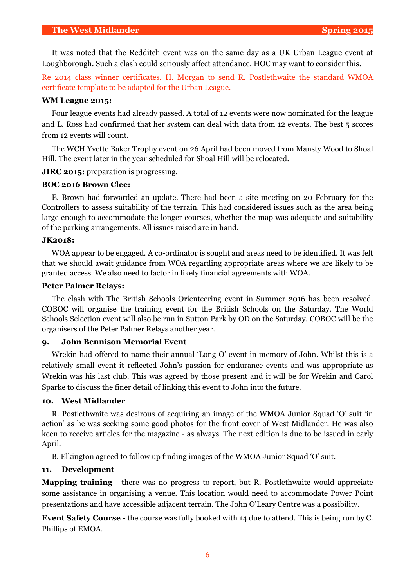It was noted that the Redditch event was on the same day as a UK Urban League event at Loughborough. Such a clash could seriously affect attendance. HOC may want to consider this.

Re 2014 class winner certificates, H. Morgan to send R. Postlethwaite the standard WMOA certificate template to be adapted for the Urban League.

#### **WM League 2015:**

Four league events had already passed. A total of 12 events were now nominated for the league and L. Ross had confirmed that her system can deal with data from 12 events. The best 5 scores from 12 events will count.

The WCH Yvette Baker Trophy event on 26 April had been moved from Mansty Wood to Shoal Hill. The event later in the year scheduled for Shoal Hill will be relocated.

**JIRC 2015:** preparation is progressing.

#### **BOC 2016 Brown Clee:**

E. Brown had forwarded an update. There had been a site meeting on 20 February for the Controllers to assess suitability of the terrain. This had considered issues such as the area being large enough to accommodate the longer courses, whether the map was adequate and suitability of the parking arrangements. All issues raised are in hand.

#### **JK2018:**

WOA appear to be engaged. A co-ordinator is sought and areas need to be identified. It was felt that we should await guidance from WOA regarding appropriate areas where we are likely to be granted access. We also need to factor in likely financial agreements with WOA.

#### **Peter Palmer Relays:**

The clash with The British Schools Orienteering event in Summer 2016 has been resolved. COBOC will organise the training event for the British Schools on the Saturday. The World Schools Selection event will also be run in Sutton Park by OD on the Saturday. COBOC will be the organisers of the Peter Palmer Relays another year.

### **9. John Bennison Memorial Event**

Wrekin had offered to name their annual 'Long O' event in memory of John. Whilst this is a relatively small event it reflected John's passion for endurance events and was appropriate as Wrekin was his last club. This was agreed by those present and it will be for Wrekin and Carol Sparke to discuss the finer detail of linking this event to John into the future.

#### **10. West Midlander**

R. Postlethwaite was desirous of acquiring an image of the WMOA Junior Squad 'O' suit 'in action' as he was seeking some good photos for the front cover of West Midlander. He was also keen to receive articles for the magazine - as always. The next edition is due to be issued in early April.

B. Elkington agreed to follow up finding images of the WMOA Junior Squad 'O' suit.

#### **11. Development**

**Mapping training** - there was no progress to report, but R. Postlethwaite would appreciate some assistance in organising a venue. This location would need to accommodate Power Point presentations and have accessible adjacent terrain. The John O'Leary Centre was a possibility.

**Event Safety Course -** the course was fully booked with 14 due to attend. This is being run by C. Phillips of EMOA.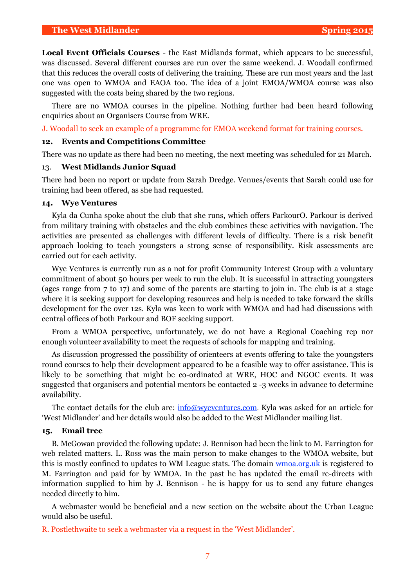**Local Event Officials Courses** - the East Midlands format, which appears to be successful, was discussed. Several different courses are run over the same weekend. J. Woodall confirmed that this reduces the overall costs of delivering the training. These are run most years and the last one was open to WMOA and EAOA too. The idea of a joint EMOA/WMOA course was also suggested with the costs being shared by the two regions.

There are no WMOA courses in the pipeline. Nothing further had been heard following enquiries about an Organisers Course from WRE.

J. Woodall to seek an example of a programme for EMOA weekend format for training courses.

#### **12. Events and Competitions Committee**

There was no update as there had been no meeting, the next meeting was scheduled for 21 March.

#### 13. **West Midlands Junior Squad**

There had been no report or update from Sarah Dredge. Venues/events that Sarah could use for training had been offered, as she had requested.

#### **14. Wye Ventures**

Kyla da Cunha spoke about the club that she runs, which offers ParkourO. Parkour is derived from military training with obstacles and the club combines these activities with navigation. The activities are presented as challenges with different levels of difficulty. There is a risk benefit approach looking to teach youngsters a strong sense of responsibility. Risk assessments are carried out for each activity.

Wye Ventures is currently run as a not for profit Community Interest Group with a voluntary commitment of about 50 hours per week to run the club. It is successful in attracting youngsters (ages range from 7 to 17) and some of the parents are starting to join in. The club is at a stage where it is seeking support for developing resources and help is needed to take forward the skills development for the over 12s. Kyla was keen to work with WMOA and had had discussions with central offices of both Parkour and BOF seeking support.

From a WMOA perspective, unfortunately, we do not have a Regional Coaching rep nor enough volunteer availability to meet the requests of schools for mapping and training.

As discussion progressed the possibility of orienteers at events offering to take the youngsters round courses to help their development appeared to be a feasible way to offer assistance. This is likely to be something that might be co-ordinated at WRE, HOC and NGOC events. It was suggested that organisers and potential mentors be contacted 2 -3 weeks in advance to determine availability.

The contact details for the club are:  $\frac{info@wveventures.com}{times.com}$ . Kyla was asked for an article for 'West Midlander' and her details would also be added to the West Midlander mailing list.

#### **15. Email tree**

B. McGowan provided the following update: J. Bennison had been the link to M. Farrington for web related matters. L. Ross was the main person to make changes to the WMOA website, but this is mostly confined to updates to WM League stats. The domain wmoa.org.uk is registered to M. Farrington and paid for by WMOA. In the past he has updated the email re-directs with information supplied to him by J. Bennison - he is happy for us to send any future changes needed directly to him.

A webmaster would be beneficial and a new section on the website about the Urban League would also be useful.

R. Postlethwaite to seek a webmaster via a request in the 'West Midlander'.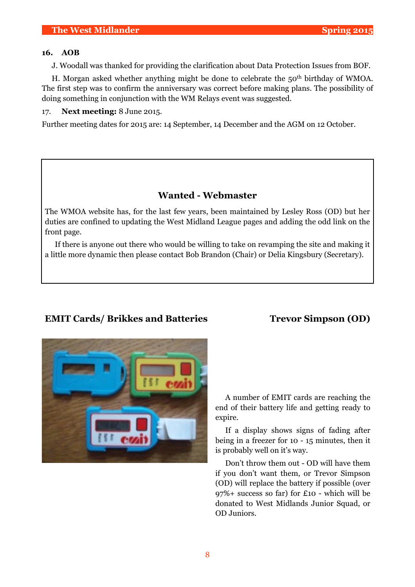#### **16. AOB**

J. Woodall was thanked for providing the clarification about Data Protection Issues from BOF.

H. Morgan asked whether anything might be done to celebrate the  $50<sup>th</sup>$  birthday of WMOA. The first step was to confirm the anniversary was correct before making plans. The possibility of doing something in conjunction with the WM Relays event was suggested.

17. **Next meeting:** 8 June 2015.

Further meeting dates for 2015 are: 14 September, 14 December and the AGM on 12 October.

# **Wanted - Webmaster**

The WMOA website has, for the last few years, been maintained by Lesley Ross (OD) but her duties are confined to updating the West Midland League pages and adding the odd link on the front page.

If there is anyone out there who would be willing to take on revamping the site and making it a little more dynamic then please contact Bob Brandon (Chair) or Delia Kingsbury (Secretary).

# **EMIT Cards/ Brikkes and Batteries Trevor Simpson (OD)**



A number of EMIT cards are reaching the end of their battery life and getting ready to expire.

If a display shows signs of fading after being in a freezer for 10 - 15 minutes, then it is probably well on it's way.

Don't throw them out - OD will have them if you don't want them, or Trevor Simpson (OD) will replace the battery if possible (over 97%+ success so far) for £10 - which will be donated to West Midlands Junior Squad, or OD Juniors.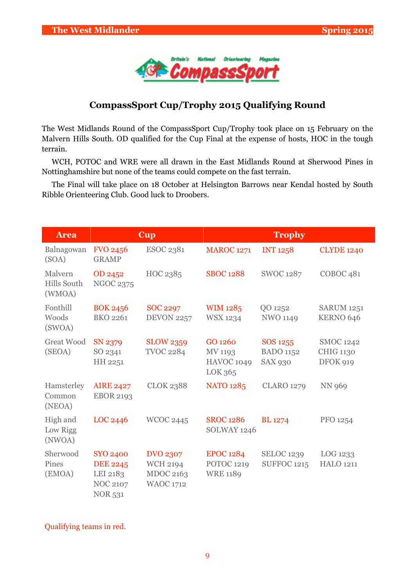

# **CompassSport Cup/Trophy 2015 Qualifying Round**

The West Midlands Round of the CompassSport Cup/Trophy took place on 15 February on the Malvern Hills South. OD qualified for the Cup Final at the expense of hosts, HOC in the tough terrain.

WCH, POTOC and WRE were all drawn in the East Midlands Round at Sherwood Pines in Nottinghamshire but none of the teams could compete on the fast terrain.

The Final will take place on 18 October at Helsington Barrows near Kendal hosted by South Ribble Orienteering Club. Good luck to Droobers.

| <b>Area</b>                             | <b>Cup</b>                                                                          |                                                                     | <b>Trophy</b>                                                |                                                |                                                  |  |
|-----------------------------------------|-------------------------------------------------------------------------------------|---------------------------------------------------------------------|--------------------------------------------------------------|------------------------------------------------|--------------------------------------------------|--|
| Balnagowan<br>(SOA)                     | <b>FVO 2456</b><br><b>GRAMP</b>                                                     | <b>ESOC 2381</b>                                                    | <b>MAROC 1271</b>                                            | <b>INT 1258</b>                                | <b>CLYDE 1240</b>                                |  |
| Malvern<br><b>Hills South</b><br>(WMOA) | OD 2452<br><b>NGOC 2375</b>                                                         | HOC 2385                                                            | <b>SBOC 1288</b>                                             | <b>SWOC 1287</b>                               | COBOC <sub>481</sub>                             |  |
| Fonthill<br>Woods<br>(SWOA)             | <b>BOK 2456</b><br>BKO 2261                                                         | <b>SOC 2297</b><br><b>DEVON 2257</b>                                | WIM 1285<br><b>WSX 1234</b>                                  | QO 1252<br><b>NWO 1149</b>                     | <b>SARUM 1251</b><br>KERNO 646                   |  |
| <b>Great Wood</b><br>(SEOA)             | SN 2379<br>SO 2341<br>HH 2251                                                       | <b>SLOW 2359</b><br><b>TVOC 2284</b>                                | GO 1260<br>MV 1193<br><b>HAVOC 1049</b><br>LOK 365           | SOS 1255<br><b>BADO</b> 1152<br><b>SAX 930</b> | <b>SMOC 1242</b><br><b>CHIG 1130</b><br>DFOK 919 |  |
| Hamsterley<br>Common<br>(NEOA)          | <b>AIRE 2427</b><br><b>EBOR 2193</b>                                                | <b>CLOK 2388</b>                                                    | <b>NATO 1285</b>                                             | <b>CLARO 1279</b>                              | <b>NN 969</b>                                    |  |
| High and<br>Low Rigg<br>(NWOA)          | LOC 2446                                                                            | <b>WCOC 2445</b>                                                    | <b>SROC 1286</b><br>SOLWAY 1246                              | <b>BL</b> 1274                                 | PFO 1254                                         |  |
| Sherwood<br>Pines<br>(EMOA)             | <b>SYO 2400</b><br><b>DEE 2245</b><br>LEI 2183<br><b>NOC 2107</b><br><b>NOR 531</b> | <b>DVO 2307</b><br><b>WCH 2194</b><br>MDOC 2163<br><b>WAOC 1712</b> | <b>EPOC 1284</b><br>POTOC <sub>1219</sub><br><b>WRE 1189</b> | <b>SELOC 1239</b><br><b>SUFFOC 1215</b>        | LOG 1233<br><b>HALO 1211</b>                     |  |

### Qualifying teams in red.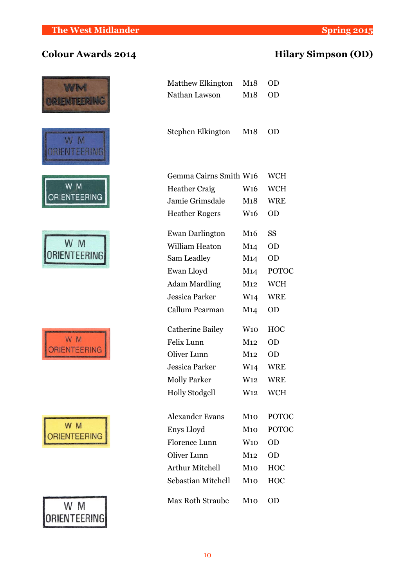# **Colour Awards 2014 Hilary Simpson (OD)**

|                    | <b>Matthew Elkington</b> | M <sub>1</sub> 8 | OD        |
|--------------------|--------------------------|------------------|-----------|
|                    | Nathan Lawson            | M18              | OD        |
|                    |                          |                  |           |
|                    | Stephen Elkington        | M18              | <b>OD</b> |
|                    |                          |                  |           |
|                    |                          |                  |           |
|                    | Gemma Cairns Smith W16   |                  | WC        |
| W M                | <b>Heather Craig</b>     | W <sub>16</sub>  | WC        |
| <b>ENTEERING</b>   | Jamie Grimsdale          | M18              | WR        |
|                    | <b>Heather Rogers</b>    | W <sub>16</sub>  | OD        |
|                    | <b>Ewan Darlington</b>   | M <sub>16</sub>  | SS        |
|                    | William Heaton           | M14              | OD        |
| ORIENTEERING       | Sam Leadley              | M14              | OD        |
|                    | Ewan Lloyd               | M14              | PO'       |
|                    | <b>Adam Mardling</b>     | M12              | WC        |
|                    | <b>Jessica Parker</b>    | W <sub>14</sub>  | WR        |
|                    | Callum Pearman           | M <sub>14</sub>  | OD        |
|                    | <b>Catherine Bailey</b>  | W10              | HO        |
|                    | Felix Lunn               | M12              | OD        |
|                    | Oliver Lunn              | M12              | OD        |
|                    | <b>Jessica Parker</b>    | W <sub>14</sub>  | WR        |
|                    | <b>Molly Parker</b>      | W <sub>12</sub>  | WR        |
|                    | <b>Holly Stodgell</b>    | W <sub>12</sub>  | WC        |
|                    | <b>Alexander Evans</b>   | M <sub>10</sub>  | PO'       |
| W M                | Enys Lloyd               | M10              | PO'       |
| <b>ENTEERING</b>   | Florence Lunn            | W10              | OD        |
|                    | Oliver Lunn              | M12              | <b>OD</b> |
|                    | <b>Arthur Mitchell</b>   | M10              | HO        |
|                    | Sebastian Mitchell       | M10              | HO        |
| W M<br>RIENTEERING | <b>Max Roth Straube</b>  | M <sub>10</sub>  | <b>OD</b> |

|                    | Stephen Elkington       | M18             | <b>OD</b>    |
|--------------------|-------------------------|-----------------|--------------|
|                    | Gemma Cairns Smith W16  |                 | <b>WCH</b>   |
| W M                | <b>Heather Craig</b>    | W <sub>16</sub> | <b>WCH</b>   |
| RIENTEERING        | Jamie Grimsdale         | M18             | <b>WRE</b>   |
|                    | <b>Heather Rogers</b>   | W <sub>16</sub> | <b>OD</b>    |
|                    | <b>Ewan Darlington</b>  | M <sub>16</sub> | <b>SS</b>    |
| W M                | William Heaton          | M14             | <b>OD</b>    |
|                    | Sam Leadley             | M <sub>14</sub> | <b>OD</b>    |
|                    | Ewan Lloyd              | M <sub>14</sub> | <b>POTOC</b> |
|                    | <b>Adam Mardling</b>    | M12             | <b>WCH</b>   |
|                    | <b>Jessica Parker</b>   | W <sub>14</sub> | <b>WRE</b>   |
|                    | Callum Pearman          | M14             | <b>OD</b>    |
|                    | <b>Catherine Bailey</b> | W10             | <b>HOC</b>   |
| WM.                | Felix Lunn              | M12             | <b>OD</b>    |
|                    | Oliver Lunn             | M12             | <b>OD</b>    |
|                    | <b>Jessica Parker</b>   | W <sub>14</sub> | <b>WRE</b>   |
|                    | <b>Molly Parker</b>     | W <sub>12</sub> | <b>WRE</b>   |
|                    | <b>Holly Stodgell</b>   | W <sub>12</sub> | <b>WCH</b>   |
|                    | <b>Alexander Evans</b>  | M10             | <b>POTOC</b> |
| W M                | Enys Lloyd              | M10             | <b>POTOC</b> |
| <b>RIENTEERING</b> | Florence Lunn           | W10             | <b>OD</b>    |
|                    | Oliver Lunn             | M12             | <b>OD</b>    |
|                    | <b>Arthur Mitchell</b>  | M10             | HOC          |
|                    | Sebastian Mitchell      | M10             | HOC          |
| W M                | <b>Max Roth Straube</b> | M10             | <b>OD</b>    |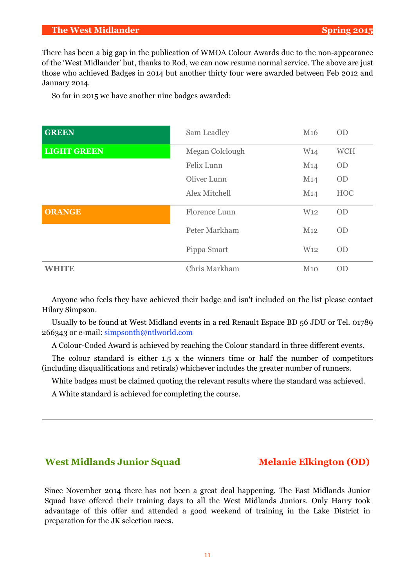#### **The West Midlander Spring 2015**

There has been a big gap in the publication of WMOA Colour Awards due to the non-appearance of the 'West Midlander' but, thanks to Rod, we can now resume normal service. The above are just those who achieved Badges in 2014 but another thirty four were awarded between Feb 2012 and January 2014.

So far in 2015 we have another nine badges awarded:

| <b>GREEN</b>       | Sam Leadley     | M <sub>16</sub> | <b>OD</b>  |
|--------------------|-----------------|-----------------|------------|
| <b>LIGHT GREEN</b> | Megan Colclough | W <sub>14</sub> | <b>WCH</b> |
|                    | Felix Lunn      | M14             | <b>OD</b>  |
|                    | Oliver Lunn     | M14             | <b>OD</b>  |
|                    | Alex Mitchell   | M14             | <b>HOC</b> |
| <b>ORANGE</b>      | Florence Lunn   | W <sub>12</sub> | <b>OD</b>  |
|                    | Peter Markham   | M12             | <b>OD</b>  |
|                    | Pippa Smart     | W <sub>12</sub> | <b>OD</b>  |
| <b>WHITE</b>       | Chris Markham   | M10             | <b>OD</b>  |

Anyone who feels they have achieved their badge and isn't included on the list please contact Hilary Simpson.

Usually to be found at West Midland events in a red Renault Espace BD 56 JDU or Tel. 01789 266343 or e-mail: simpsonth@ntlworld.com

A Colour-Coded Award is achieved by reaching the Colour standard in three different events.

The colour standard is either 1.5 x the winners time or half the number of competitors (including disqualifications and retirals) whichever includes the greater number of runners.

White badges must be claimed quoting the relevant results where the standard was achieved.

A White standard is achieved for completing the course.

### West Midlands Junior Squad Melanie Elkington (OD)

Since November 2014 there has not been a great deal happening. The East Midlands Junior Squad have offered their training days to all the West Midlands Juniors. Only Harry took advantage of this offer and attended a good weekend of training in the Lake District in preparation for the JK selection races.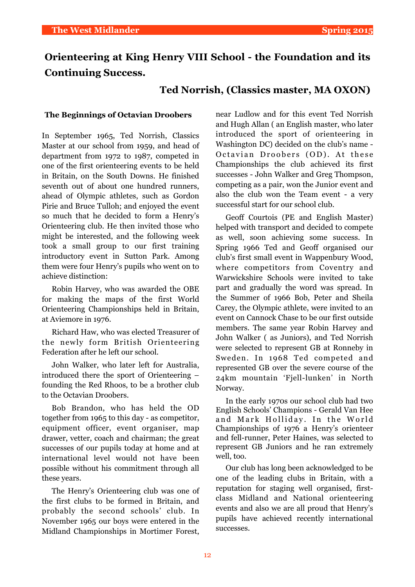# **Orienteering at King Henry VIII School - the Foundation and its Continuing Success.**

## **Ted Norrish, (Classics master, MA OXON)**

#### **The Beginnings of Octavian Droobers**

In September 1965, Ted Norrish, Classics Master at our school from 1959, and head of department from 1972 to 1987, competed in one of the first orienteering events to be held in Britain, on the South Downs. He finished seventh out of about one hundred runners, ahead of Olympic athletes, such as Gordon Pirie and Bruce Tulloh; and enjoyed the event so much that he decided to form a Henry's Orienteering club. He then invited those who might be interested, and the following week took a small group to our first training introductory event in Sutton Park. Among them were four Henry's pupils who went on to achieve distinction:

Robin Harvey, who was awarded the OBE for making the maps of the first World Orienteering Championships held in Britain, at Aviemore in 1976.

Richard Haw, who was elected Treasurer of the newly form British Orienteering Federation after he left our school.

John Walker, who later left for Australia, introduced there the sport of Orienteering – founding the Red Rhoos, to be a brother club to the Octavian Droobers.

Bob Brandon, who has held the OD together from 1965 to this day - as competitor, equipment officer, event organiser, map drawer, vetter, coach and chairman; the great successes of our pupils today at home and at international level would not have been possible without his commitment through all these years.

The Henry's Orienteering club was one of the first clubs to be formed in Britain, and probably the second schools' club. In November 1965 our boys were entered in the Midland Championships in Mortimer Forest, near Ludlow and for this event Ted Norrish and Hugh Allan ( an English master, who later introduced the sport of orienteering in Washington DC) decided on the club's name - Octavian Droobers (OD). At these Championships the club achieved its first successes - John Walker and Greg Thompson, competing as a pair, won the Junior event and also the club won the Team event - a very successful start for our school club.

Geoff Courtois (PE and English Master) helped with transport and decided to compete as well, soon achieving some success. In Spring 1966 Ted and Geoff organised our club's first small event in Wappenbury Wood, where competitors from Coventry and Warwickshire Schools were invited to take part and gradually the word was spread. In the Summer of 1966 Bob, Peter and Sheila Carey, the Olympic athlete, were invited to an event on Cannock Chase to be our first outside members. The same year Robin Harvey and John Walker ( as Juniors), and Ted Norrish were selected to represent GB at Ronneby in Sweden. In 1968 Ted competed and represented GB over the severe course of the 24km mountain 'Fjell-lunken' in North Norway.

In the early 1970s our school club had two English Schools' Champions - Gerald Van Hee and Mark Holliday. In the World Championships of 1976 a Henry's orienteer and fell-runner, Peter Haines, was selected to represent GB Juniors and he ran extremely well, too.

Our club has long been acknowledged to be one of the leading clubs in Britain, with a reputation for staging well organised, firstclass Midland and National orienteering events and also we are all proud that Henry's pupils have achieved recently international successes.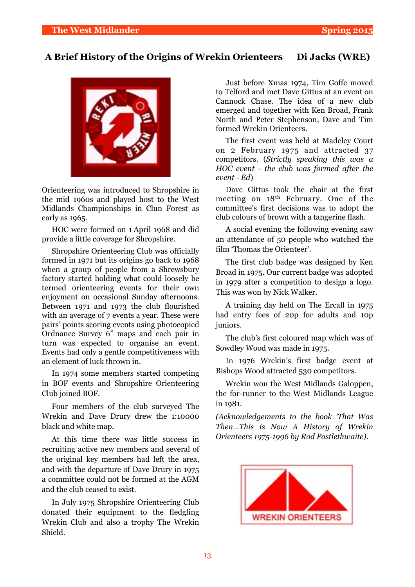# **A Brief History of the Origins of Wrekin Orienteers Di Jacks (WRE)**



Orienteering was introduced to Shropshire in the mid 1960s and played host to the West Midlands Championships in Clun Forest as early as 1965.

HOC were formed on 1 April 1968 and did provide a little coverage for Shropshire.

Shropshire Orienteering Club was officially formed in 1971 but its origins go back to 1968 when a group of people from a Shrewsbury factory started holding what could loosely be termed orienteering events for their own enjoyment on occasional Sunday afternoons. Between 1971 and 1973 the club flourished with an average of 7 events a year. These were pairs' points scoring events using photocopied Ordnance Survey 6" maps and each pair in turn was expected to organise an event. Events had only a gentle competitiveness with an element of luck thrown in.

In 1974 some members started competing in BOF events and Shropshire Orienteering Club joined BOF.

Four members of the club surveyed The Wrekin and Dave Drury drew the 1:10000 black and white map.

At this time there was little success in recruiting active new members and several of the original key members had left the area, and with the departure of Dave Drury in 1975 a committee could not be formed at the AGM and the club ceased to exist.

In July 1975 Shropshire Orienteering Club donated their equipment to the fledgling Wrekin Club and also a trophy The Wrekin Shield.

Just before Xmas 1974, Tim Goffe moved to Telford and met Dave Gittus at an event on Cannock Chase. The idea of a new club emerged and together with Ken Broad, Frank North and Peter Stephenson, Dave and Tim formed Wrekin Orienteers.

The first event was held at Madeley Court on 2 February 1975 and attracted 37 competitors. (*Strictly speaking this was a HOC event - the club was formed after the event - Ed*)

Dave Gittus took the chair at the first meeting on 18th February. One of the committee's first decisions was to adopt the club colours of brown with a tangerine flash.

A social evening the following evening saw an attendance of 50 people who watched the film 'Thomas the Orienteer'.

The first club badge was designed by Ken Broad in 1975. Our current badge was adopted in 1979 after a competition to design a logo. This was won by Nick Walker.

A training day held on The Ercall in 1975 had entry fees of 20p for adults and 10p juniors.

The club's first coloured map which was of Sowdley Wood was made in 1975.

In 1976 Wrekin's first badge event at Bishops Wood attracted 530 competitors.

Wrekin won the West Midlands Galoppen, the for-runner to the West Midlands League in 1981.

*(Acknowledgements to the book 'That Was Then…This is Now A History of Wrekin Orienteers 1975-1996 by Rod Postlethwaite)*.

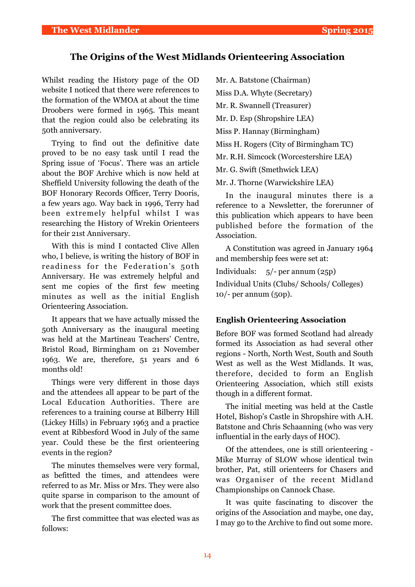### **The Origins of the West Midlands Orienteering Association**

Whilst reading the History page of the OD website I noticed that there were references to the formation of the WMOA at about the time Droobers were formed in 1965. This meant that the region could also be celebrating its 50th anniversary.

Trying to find out the definitive date proved to be no easy task until I read the Spring issue of 'Focus'. There was an article about the BOF Archive which is now held at Sheffield University following the death of the BOF Honorary Records Officer, Terry Dooris, a few years ago. Way back in 1996, Terry had been extremely helpful whilst I was researching the History of Wrekin Orienteers for their 21st Anniversary.

With this is mind I contacted Clive Allen who, I believe, is writing the history of BOF in readiness for the Federation's 50th Anniversary. He was extremely helpful and sent me copies of the first few meeting minutes as well as the initial English Orienteering Association.

It appears that we have actually missed the 50th Anniversary as the inaugural meeting was held at the Martineau Teachers' Centre, Bristol Road, Birmingham on 21 November 1963. We are, therefore, 51 years and 6 months old!

Things were very different in those days and the attendees all appear to be part of the Local Education Authorities. There are references to a training course at Bilberry Hill (Lickey Hills) in February 1963 and a practice event at Ribbesford Wood in July of the same year. Could these be the first orienteering events in the region?

The minutes themselves were very formal, as befitted the times, and attendees were referred to as Mr. Miss or Mrs. They were also quite sparse in comparison to the amount of work that the present committee does.

The first committee that was elected was as follows:

Mr. A. Batstone (Chairman) Miss D.A. Whyte (Secretary) Mr. R. Swannell (Treasurer) Mr. D. Esp (Shropshire LEA) Miss P. Hannay (Birmingham) Miss H. Rogers (City of Birmingham TC) Mr. R.H. Simcock (Worcestershire LEA) Mr. G. Swift (Smethwick LEA) Mr. J. Thorne (Warwickshire LEA)

In the inaugural minutes there is a reference to a Newsletter, the forerunner of this publication which appears to have been published before the formation of the Association.

A Constitution was agreed in January 1964 and membership fees were set at:

Individuals: 5/- per annum (25p) Individual Units (Clubs/ Schools/ Colleges) 10/- per annum (50p).

#### **English Orienteering Association**

Before BOF was formed Scotland had already formed its Association as had several other regions - North, North West, South and South West as well as the West Midlands. It was, therefore, decided to form an English Orienteering Association, which still exists though in a different format.

The initial meeting was held at the Castle Hotel, Bishop's Castle in Shropshire with A.H. Batstone and Chris Schaanning (who was very influential in the early days of HOC).

Of the attendees, one is still orienteering - Mike Murray of SLOW whose identical twin brother, Pat, still orienteers for Chasers and was Organiser of the recent Midland Championships on Cannock Chase.

It was quite fascinating to discover the origins of the Association and maybe, one day, I may go to the Archive to find out some more.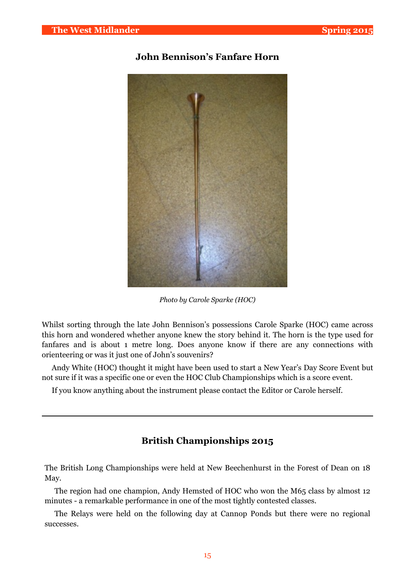# **John Bennison's Fanfare Horn**



*Photo by Carole Sparke (HOC)*

Whilst sorting through the late John Bennison's possessions Carole Sparke (HOC) came across this horn and wondered whether anyone knew the story behind it. The horn is the type used for fanfares and is about 1 metre long. Does anyone know if there are any connections with orienteering or was it just one of John's souvenirs?

Andy White (HOC) thought it might have been used to start a New Year's Day Score Event but not sure if it was a specific one or even the HOC Club Championships which is a score event.

If you know anything about the instrument please contact the Editor or Carole herself.

## **British Championships 2015**

The British Long Championships were held at New Beechenhurst in the Forest of Dean on 18 May.

The region had one champion, Andy Hemsted of HOC who won the M65 class by almost 12 minutes - a remarkable performance in one of the most tightly contested classes.

The Relays were held on the following day at Cannop Ponds but there were no regional successes.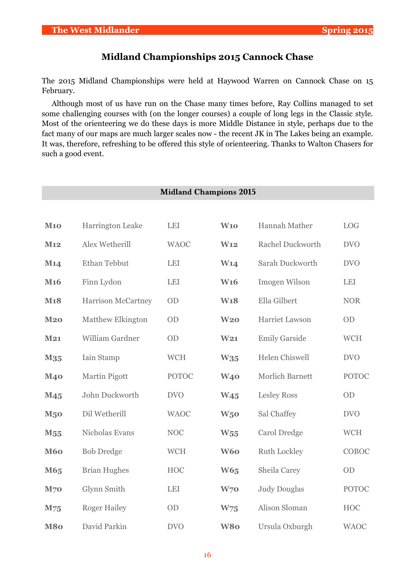# **Midland Championships 2015 Cannock Chase**

The 2015 Midland Championships were held at Haywood Warren on Cannock Chase on 15 February.

Although most of us have run on the Chase many times before, Ray Collins managed to set some challenging courses with (on the longer courses) a couple of long legs in the Classic style. Most of the orienteering we do these days is more Middle Distance in style, perhaps due to the fact many of our maps are much larger scales now - the recent JK in The Lakes being an example. It was, therefore, refreshing to be offered this style of orienteering. Thanks to Walton Chasers for such a good event.

|                 |                           | <b>Midland Champions 2015</b> |                 |                         |              |
|-----------------|---------------------------|-------------------------------|-----------------|-------------------------|--------------|
|                 |                           |                               |                 |                         |              |
| <b>M10</b>      | <b>Harrington Leake</b>   | <b>LEI</b>                    | <b>W10</b>      | Hannah Mather           | <b>LOG</b>   |
| M12             | Alex Wetherill            | <b>WAOC</b>                   | W <sub>12</sub> | <b>Rachel Duckworth</b> | <b>DVO</b>   |
| M <sub>14</sub> | Ethan Tebbut              | <b>LEI</b>                    | W14             | Sarah Duckworth         | <b>DVO</b>   |
| M <sub>16</sub> | Finn Lydon                | <b>LEI</b>                    | <b>W16</b>      | Imogen Wilson           | <b>LEI</b>   |
| <b>M18</b>      | <b>Harrison McCartney</b> | OD                            | <b>W18</b>      | Ella Gilbert            | <b>NOR</b>   |
| M20             | Matthew Elkington         | OD                            | W <sub>20</sub> | Harriet Lawson          | OD           |
| M21             | William Gardner           | OD                            | W <sub>21</sub> | <b>Emily Garside</b>    | <b>WCH</b>   |
| M <sub>35</sub> | Iain Stamp                | <b>WCH</b>                    | W35             | <b>Helen Chiswell</b>   | <b>DVO</b>   |
| <b>M40</b>      | Martin Pigott             | <b>POTOC</b>                  | <b>W40</b>      | <b>Morlich Barnett</b>  | <b>POTOC</b> |
| M <sub>45</sub> | John Duckworth            | <b>DVO</b>                    | W <sub>45</sub> | <b>Lesley Ross</b>      | OD           |
| <b>M50</b>      | Dil Wetherill             | <b>WAOC</b>                   | W <sub>50</sub> | Sal Chaffey             | <b>DVO</b>   |
| M <sub>55</sub> | Nicholas Evans            | <b>NOC</b>                    | $W_{55}$        | Carol Dredge            | <b>WCH</b>   |
| <b>M60</b>      | <b>Bob Dredge</b>         | <b>WCH</b>                    | <b>W60</b>      | <b>Ruth Lockley</b>     | COBOC        |
| M65             | <b>Brian Hughes</b>       | <b>HOC</b>                    | <b>W65</b>      | Sheila Carey            | OD           |
| <b>M70</b>      | Glynn Smith               | <b>LEI</b>                    | W <sub>70</sub> | <b>Judy Douglas</b>     | <b>POTOC</b> |
| M75             | <b>Roger Hailey</b>       | OD                            | W <sub>75</sub> | Alison Sloman           | <b>HOC</b>   |
| <b>M80</b>      | David Parkin              | <b>DVO</b>                    | <b>W80</b>      | Ursula Oxburgh          | <b>WAOC</b>  |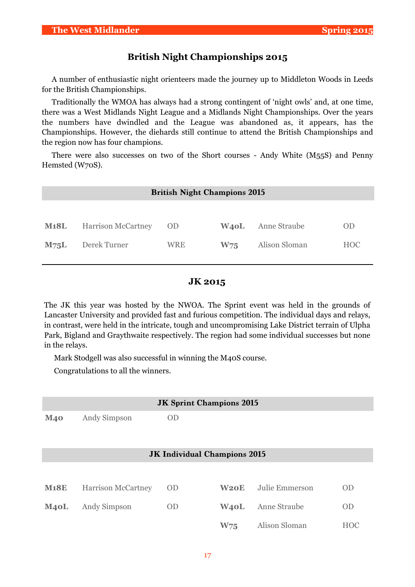## **British Night Championships 2015**

A number of enthusiastic night orienteers made the journey up to Middleton Woods in Leeds for the British Championships.

Traditionally the WMOA has always had a strong contingent of 'night owls' and, at one time, there was a West Midlands Night League and a Midlands Night Championships. Over the years the numbers have dwindled and the League was abandoned as, it appears, has the Championships. However, the diehards still continue to attend the British Championships and the region now has four champions.

There were also successes on two of the Short courses - Andy White (M55S) and Penny Hemsted (W70S).

| <b>British Night Champions 2015</b> |     |                 |               |            |  |  |  |
|-------------------------------------|-----|-----------------|---------------|------------|--|--|--|
|                                     |     |                 |               |            |  |  |  |
| <b>Harrison McCartney</b>           |     | <b>W40L</b>     | Anne Straube  | <b>OD</b>  |  |  |  |
| Derek Turner                        | WRE | W <sub>75</sub> | Alison Sloman | <b>HOC</b> |  |  |  |
|                                     |     | OD.             |               |            |  |  |  |

### **JK 2015**

The JK this year was hosted by the NWOA. The Sprint event was held in the grounds of Lancaster University and provided fast and furious competition. The individual days and relays, in contrast, were held in the intricate, tough and uncompromising Lake District terrain of Ulpha Park, Bigland and Graythwaite respectively. The region had some individual successes but none in the relays.

Mark Stodgell was also successful in winning the M40S course.

Congratulations to all the winners.

|             |                           | <b>JK Sprint Champions 2015</b>     |                   |                |            |
|-------------|---------------------------|-------------------------------------|-------------------|----------------|------------|
| <b>M40</b>  | Andy Simpson              | <b>OD</b>                           |                   |                |            |
|             |                           |                                     |                   |                |            |
|             |                           |                                     |                   |                |            |
|             |                           | <b>JK Individual Champions 2015</b> |                   |                |            |
|             |                           |                                     |                   |                |            |
| <b>M18E</b> | <b>Harrison McCartney</b> | 0 <sub>D</sub>                      | <b>W20E</b>       | Julie Emmerson | <b>OD</b>  |
| M40L        | Andy Simpson              | <b>OD</b>                           | W <sub>4</sub> oL | Anne Straube   | <b>OD</b>  |
|             |                           |                                     | W75               | Alison Sloman  | <b>HOC</b> |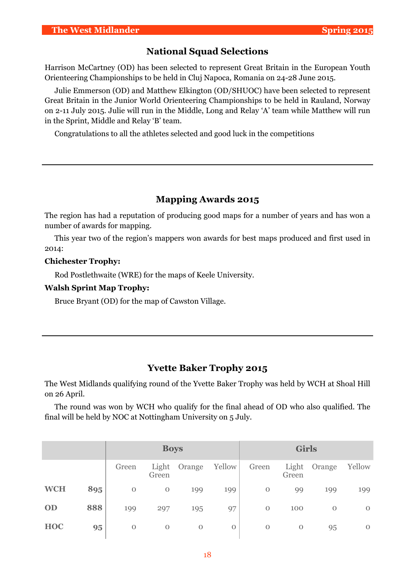### **National Squad Selections**

Harrison McCartney (OD) has been selected to represent Great Britain in the European Youth Orienteering Championships to be held in Cluj Napoca, Romania on 24-28 June 2015.

Julie Emmerson (OD) and Matthew Elkington (OD/SHUOC) have been selected to represent Great Britain in the Junior World Orienteering Championships to be held in Rauland, Norway on 2-11 July 2015. Julie will run in the Middle, Long and Relay 'A' team while Matthew will run in the Sprint, Middle and Relay 'B' team.

Congratulations to all the athletes selected and good luck in the competitions

## **Mapping Awards 2015**

The region has had a reputation of producing good maps for a number of years and has won a number of awards for mapping.

This year two of the region's mappers won awards for best maps produced and first used in 2014:

#### **Chichester Trophy:**

Rod Postlethwaite (WRE) for the maps of Keele University.

#### **Walsh Sprint Map Trophy:**

Bruce Bryant (OD) for the map of Cawston Village.

### **Yvette Baker Trophy 2015**

The West Midlands qualifying round of the Yvette Baker Trophy was held by WCH at Shoal Hill on 26 April.

The round was won by WCH who qualify for the final ahead of OD who also qualified. The final will be held by NOC at Nottingham University on 5 July.

|            |     |          | <b>Boys</b>    |             |              |                | <b>Girls</b>   |              |              |
|------------|-----|----------|----------------|-------------|--------------|----------------|----------------|--------------|--------------|
|            |     | Green    | Light<br>Green | Orange      | Yellow       | Green          | Light<br>Green | Orange       | Yellow       |
| <b>WCH</b> | 895 | $\Omega$ | $\mathbf{0}$   | 199         | 199          | $\mathbf{O}$   | 99             | 199          | 199          |
| OD         | 888 | 199      | 297            | 195         | 97           | $\overline{0}$ | 100            | $\mathbf{O}$ | $\Omega$     |
| <b>HOC</b> | 95  | $\Omega$ | $\mathbf 0$    | $\mathbf 0$ | $\mathbf{O}$ | $\mathbf{O}$   | $\mathbf 0$    | 95           | $\mathbf{O}$ |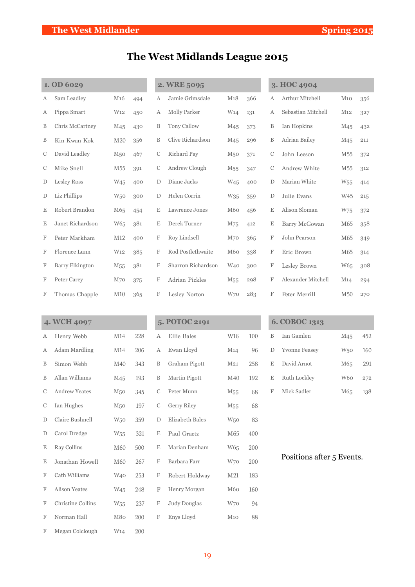# **The West Midlands League 2015**

|             | 1. OD 6029             |                 |     |             | 2. WRE 5095           |                 |     |               | 3. HOC 4904               |                 |     |
|-------------|------------------------|-----------------|-----|-------------|-----------------------|-----------------|-----|---------------|---------------------------|-----------------|-----|
| Α           | Sam Leadley            | M <sub>16</sub> | 494 | А           | Jamie Grimsdale       | M18             | 366 | А             | Arthur Mitchell           | $M_{10}$        | 356 |
| Α           | Pippa Smart            | W <sub>12</sub> | 450 | А           | Molly Parker          | W <sub>14</sub> | 131 | А             | Sebastian Mitchell        | M <sub>12</sub> | 327 |
| B           | Chris McCartney        | M <sub>45</sub> | 430 | B           | Tony Callow           | M <sub>45</sub> | 373 | B             | Ian Hopkins               | M <sub>45</sub> | 432 |
| B           | Kin Kwan Kok           | M20             | 356 | B           | Clive Richardson      | M <sub>45</sub> | 296 | B             | Adrian Bailey             | M <sub>45</sub> | 211 |
| С           | David Leadley          | M <sub>50</sub> | 467 | $\mathbf C$ | Richard Pay           | M <sub>50</sub> | 371 | $\mathcal{C}$ | John Leeson               | M <sub>55</sub> | 372 |
| С           | Mike Snell             | M55             | 391 | С           | Andrew Clough         | M <sub>55</sub> | 347 | $\mathcal{C}$ | Andrew White              | M <sub>55</sub> | 312 |
| D           | Lesley Ross            | W <sub>45</sub> | 400 | D           | Diane Jacks           | W <sub>45</sub> | 400 | D             | Marian White              | W <sub>55</sub> | 414 |
| D           | Liz Phillips           | W <sub>50</sub> | 300 | D           | Helen Corrin          | W <sub>35</sub> | 359 | D             | Julie Evans               | W45             | 215 |
| Ε           | Robert Brandon         | M65             | 454 | Ε           | Lawrence Jones        | M <sub>60</sub> | 456 | Ε             | Alison Sloman             | W75             | 372 |
| Ε           | Janet Richardson       | W65             | 381 | Ε           | Derek Turner          | M75             | 412 | Ε             | Barry McGowan             | M65             | 358 |
| F           | Peter Markham          | M12             | 400 | F           | Roy Lindsell          | M <sub>70</sub> | 365 | F             | John Pearson              | M65             | 349 |
| F           | Florence Lunn          | W <sub>12</sub> | 385 | F           | Rod Postlethwaite     | M60             | 338 | F             | Eric Brown                | M65             | 314 |
| F           | <b>Barry Elkington</b> | M <sub>55</sub> | 381 | F           | Sharron Richardson    | W <sub>40</sub> | 300 | F             | Lesley Brown              | W65             | 308 |
| F           | Peter Carey            | M <sub>70</sub> | 375 | F           | <b>Adrian Pickles</b> | M <sub>55</sub> | 298 | F             | Alexander Mitchell        | M14             | 294 |
| F           | Thomas Chapple         | M10             | 365 | F           | Lesley Norton         | W70             | 283 | F             | Peter Merrill             | M50             | 270 |
|             |                        |                 |     |             |                       |                 |     |               |                           |                 |     |
|             | 4. WCH 4097            |                 |     |             | 5. POTOC 2191         |                 |     |               | 6. COBOC 1313             |                 |     |
| Α           | Henry Webb             | M14             | 228 | А           | Ellie Bales           | W16             | 100 | B             | Ian Gamlen                | M <sub>45</sub> | 452 |
| Α           | <b>Adam Mardling</b>   | M14             | 206 | А           | Ewan Lloyd            | M <sub>14</sub> | 96  | D             | <b>Yvonne Feasey</b>      | W <sub>50</sub> | 160 |
| B           | Simon Webb             | M40             | 343 | B           | Graham Pigott         | M <sub>21</sub> | 258 | Ε             | David Arnot               | M65             | 291 |
| B           | Allan Williams         | M <sub>45</sub> | 193 | B           | Martin Pigott         | M40             | 192 | Ε             | Ruth Lockley              | W60             | 272 |
| С           | Andrew Yeates          | M <sub>50</sub> | 345 | С           | Peter Munn            | M <sub>55</sub> | 68  | F             | Mick Sadler               | M65             | 138 |
| $\mathbf C$ | Ian Hughes             | M <sub>50</sub> | 197 | $\mathbf C$ | Gerry Riley           | M <sub>55</sub> | 68  |               |                           |                 |     |
| D           | Claire Bushnell        | W <sub>50</sub> | 359 | D           | Elizabeth Bales       | W <sub>50</sub> | 83  |               |                           |                 |     |
| D           | Carol Dredge           | W <sub>55</sub> | 321 | Ε           | Paul Graetz           | M65             | 400 |               |                           |                 |     |
| E           | Ray Collins            | M60             | 500 | E           | Marian Denham         | W65             | 200 |               |                           |                 |     |
| Ε           | Jonathan Howell        | M60             | 267 | F           | Barbara Farr          | W70             | 200 |               | Positions after 5 Events. |                 |     |
| F           | Cath Williams          | W <sub>40</sub> | 253 | F           | Robert Holdway        | M21             | 183 |               |                           |                 |     |
| F           | Alison Yeates          | W <sub>45</sub> | 248 | F           | Henry Morgan          | M60             | 160 |               |                           |                 |     |

F Christine Collins W55 237 F Judy Douglas W70 94 F Norman Hall M80 200 F Enys Lloyd M10 88

F Megan Colclough W14 200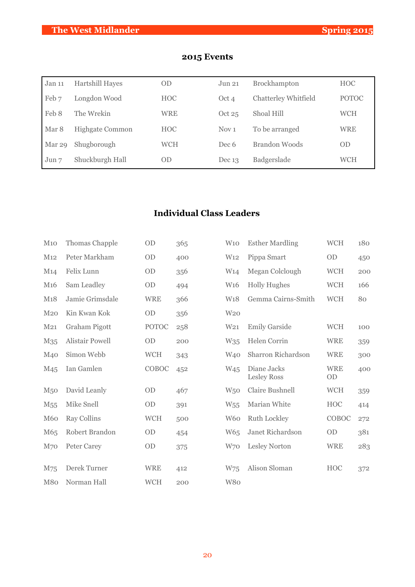| Jan 11 | <b>Hartshill Hayes</b> | <b>OD</b>  | Jun 21           | Brockhampton                | <b>HOC</b>   |
|--------|------------------------|------------|------------------|-----------------------------|--------------|
| Feb 7  | Longdon Wood           | <b>HOC</b> | Oct 4            | <b>Chatterley Whitfield</b> | <b>POTOC</b> |
| Feb 8  | The Wrekin             | <b>WRE</b> | Oct $25$         | Shoal Hill                  | <b>WCH</b>   |
| Mar 8  | Highgate Common        | <b>HOC</b> | Nov <sub>1</sub> | To be arranged              | <b>WRE</b>   |
| Mar 29 | Shugborough            | <b>WCH</b> | Dec 6            | Brandon Woods               | <b>OD</b>    |
| Jun 7  | Shuckburgh Hall        | <b>OD</b>  | Dec $13$         | Badgerslade                 | WCH          |

# **2015 Events**

# **Individual Class Leaders**

| M10              | Thomas Chapple         | OD           | 365 | W10             | <b>Esther Mardling</b>            | <b>WCH</b>       | 180 |
|------------------|------------------------|--------------|-----|-----------------|-----------------------------------|------------------|-----|
| M12              | Peter Markham          | OD           | 400 | W <sub>12</sub> | Pippa Smart                       | <b>OD</b>        | 450 |
| M14              | Felix Lunn             | OD           | 356 | W14             | Megan Colclough                   | <b>WCH</b>       | 200 |
| M <sub>16</sub>  | Sam Leadley            | OD           | 494 | W <sub>16</sub> | <b>Holly Hughes</b>               | <b>WCH</b>       | 166 |
| M <sub>1</sub> 8 | Jamie Grimsdale        | <b>WRE</b>   | 366 | W <sub>18</sub> | Gemma Cairns-Smith                | <b>WCH</b>       | 80  |
| M <sub>20</sub>  | Kin Kwan Kok           | <b>OD</b>    | 356 | W <sub>20</sub> |                                   |                  |     |
| M21              | Graham Pigott          | <b>POTOC</b> | 258 | W <sub>21</sub> | <b>Emily Garside</b>              | <b>WCH</b>       | 100 |
| M35              | <b>Alistair Powell</b> | OD           | 200 | W35             | Helen Corrin                      | <b>WRE</b>       | 359 |
| M <sub>40</sub>  | Simon Webb             | <b>WCH</b>   | 343 | W <sub>40</sub> | Sharron Richardson                | <b>WRE</b>       | 300 |
| M <sub>45</sub>  | Ian Gamlen             | COBOC        | 452 | W <sub>45</sub> | Diane Jacks<br><b>Lesley Ross</b> | <b>WRE</b><br>OD | 400 |
| M <sub>50</sub>  | David Leanly           | OD           | 467 | W <sub>50</sub> | <b>Claire Bushnell</b>            | <b>WCH</b>       | 359 |
| M <sub>55</sub>  | Mike Snell             | OD           | 391 | W <sub>55</sub> | Marian White                      | <b>HOC</b>       | 414 |
| <b>M60</b>       | <b>Ray Collins</b>     | <b>WCH</b>   | 500 | W <sub>60</sub> | <b>Ruth Lockley</b>               | COBOC            | 272 |
| M65              | Robert Brandon         | OD           | 454 | W65             | Janet Richardson                  | OD               | 381 |
| M70              | Peter Carey            | OD           | 375 | W70             | Lesley Norton                     | <b>WRE</b>       | 283 |
|                  | Derek Turner           | <b>WRE</b>   |     |                 | Alison Sloman                     | <b>HOC</b>       |     |
| M75              |                        |              | 412 | W75             |                                   |                  | 372 |
| M80              | Norman Hall            | <b>WCH</b>   | 200 | W80             |                                   |                  |     |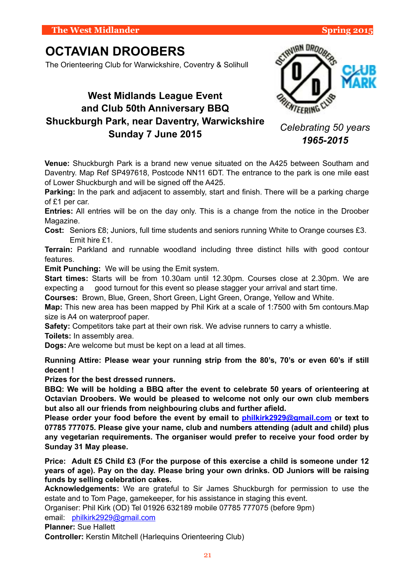# **OCTAVIAN DROOBERS**

The Orienteering Club for Warwickshire, Coventry & Solihull

# **West Midlands League Event and Club 50th Anniversary BBQ Shuckburgh Park, near Daventry, Warwickshire Sunday 7 June 2015**

**Venue:** Shuckburgh Park is a brand new venue situated on the A425 between Southam and Daventry. Map Ref SP497618, Postcode NN11 6DT. The entrance to the park is one mile east of Lower Shuckburgh and will be signed off the A425.

Parking: In the park and adjacent to assembly, start and finish. There will be a parking charge of £1 per car.

**Entries:** All entries will be on the day only. This is a change from the notice in the Droober Magazine.

**Cost:** Seniors £8; Juniors, full time students and seniors running White to Orange courses £3. Emit hire £1.

**Terrain:** Parkland and runnable woodland including three distinct hills with good contour features.

**Emit Punching:** We will be using the Emit system.

**Start times:** Starts will be from 10.30am until 12.30pm. Courses close at 2.30pm. We are expecting a good turnout for this event so please stagger your arrival and start time.

**Courses:** Brown, Blue, Green, Short Green, Light Green, Orange, Yellow and White.

**Map:** This new area has been mapped by Phil Kirk at a scale of 1:7500 with 5m contours.Map size is A4 on waterproof paper.

**Safety:** Competitors take part at their own risk. We advise runners to carry a whistle.

**Toilets:** In assembly area.

**Dogs:** Are welcome but must be kept on a lead at all times.

**Running Attire: Please wear your running strip from the 80's, 70's or even 60's if still decent !** 

**Prizes for the best dressed runners.**

**BBQ: We will be holding a BBQ after the event to celebrate 50 years of orienteering at Octavian Droobers. We would be pleased to welcome not only our own club members but also all our friends from neighbouring clubs and further afield.** 

**Please order your food before the event by email to [philkirk2929@gmail.com](mailto:philkirk2929@gmail.com) or text to 07785 777075. Please give your name, club and numbers attending (adult and child) plus any vegetarian requirements. The organiser would prefer to receive your food order by Sunday 31 May please.**

**Price: Adult £5 Child £3 (For the purpose of this exercise a child is someone under 12 years of age). Pay on the day. Please bring your own drinks. OD Juniors will be raising funds by selling celebration cakes.** 

**Acknowledgements:** We are grateful to Sir James Shuckburgh for permission to use the estate and to Tom Page, gamekeeper, for his assistance in staging this event.

Organiser: Phil Kirk (OD) Tel 01926 632189 mobile 07785 777075 (before 9pm) email: [philkirk2929@gmail.com](mailto:philkirk2929@gmail.com)

**Planner:** Sue Hallett

**Controller:** Kerstin Mitchell (Harlequins Orienteering Club)



*Celebrating 50 years 1965-2015*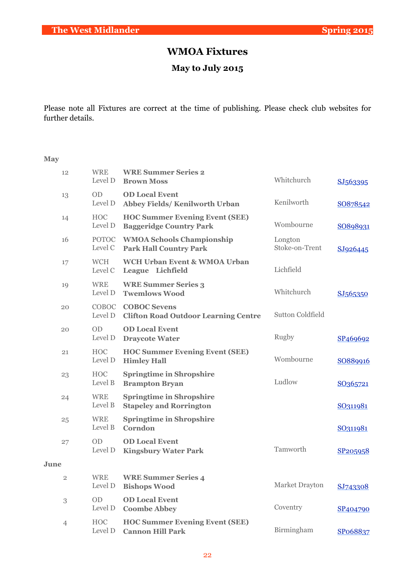# **WMOA Fixtures**

# **May to July 2015**

Please note all Fixtures are correct at the time of publishing. Please check club websites for further details.

#### **May**

| 12             | <b>WRE</b><br>Level D   | <b>WRE Summer Series 2</b><br><b>Brown Moss</b>                         | Whitchurch                | SJ563395             |
|----------------|-------------------------|-------------------------------------------------------------------------|---------------------------|----------------------|
| 13             | <b>OD</b><br>Level D    | <b>OD Local Event</b><br>Abbey Fields/Kenilworth Urban                  | Kenilworth                | SO878542             |
| 14             | <b>HOC</b><br>Level D   | <b>HOC Summer Evening Event (SEE)</b><br><b>Baggeridge Country Park</b> | Wombourne                 | SO898931             |
| 16             | <b>POTOC</b><br>Level C | <b>WMOA Schools Championship</b><br><b>Park Hall Country Park</b>       | Longton<br>Stoke-on-Trent | SJ926445             |
| 17             | <b>WCH</b><br>Level C   | <b>WCH Urban Event &amp; WMOA Urban</b><br>League Lichfield             | Lichfield                 |                      |
| 19             | <b>WRE</b><br>Level D   | <b>WRE Summer Series 3</b><br><b>Twemlows Wood</b>                      | Whitchurch                | SJ565350             |
| 20             | COBOC<br>Level D        | <b>COBOC Sevens</b><br><b>Clifton Road Outdoor Learning Centre</b>      | <b>Sutton Coldfield</b>   |                      |
| 20             | <b>OD</b><br>Level D    | <b>OD Local Event</b><br><b>Draycote Water</b>                          | Rugby                     | SP <sub>469692</sub> |
| 21             | <b>HOC</b><br>Level D   | <b>HOC Summer Evening Event (SEE)</b><br><b>Himley Hall</b>             | Wombourne                 | SO889916             |
| 23             | <b>HOC</b><br>Level B   | <b>Springtime in Shropshire</b><br><b>Brampton Bryan</b>                | Ludlow                    | SO <sub>365721</sub> |
| 24             | <b>WRE</b><br>Level B   | <b>Springtime in Shropshire</b><br><b>Stapeley and Rorrington</b>       |                           | SO311981             |
| 25             | <b>WRE</b><br>Level B   | <b>Springtime in Shropshire</b><br>Corndon                              |                           | SO311981             |
| 27             | <b>OD</b><br>Level D    | <b>OD Local Event</b><br><b>Kingsbury Water Park</b>                    | Tamworth                  | SP205958             |
| June           |                         |                                                                         |                           |                      |
| $\overline{2}$ | <b>WRE</b><br>Level D   | <b>WRE Summer Series 4</b><br><b>Bishops Wood</b>                       | Market Drayton            | SJ743308             |
| $\,3$          | <b>OD</b><br>Level D    | <b>OD Local Event</b><br><b>Coombe Abbey</b>                            | Coventry                  | SP <sub>404790</sub> |
| $\overline{4}$ | <b>HOC</b><br>Level D   | <b>HOC Summer Evening Event (SEE)</b><br><b>Cannon Hill Park</b>        | Birmingham                | SPo68837             |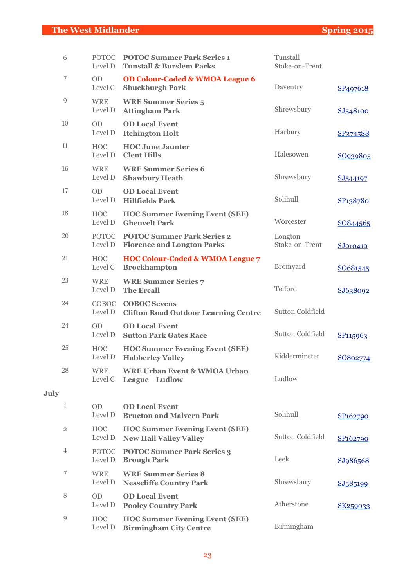| 6              | <b>POTOC</b><br>Level D | <b>POTOC Summer Park Series 1</b><br><b>Tunstall &amp; Burslem Parks</b> | Tunstall<br>Stoke-on-Trent |                      |
|----------------|-------------------------|--------------------------------------------------------------------------|----------------------------|----------------------|
| 7              | <b>OD</b><br>Level C    | <b>OD Colour-Coded &amp; WMOA League 6</b><br><b>Shuckburgh Park</b>     | Daventry                   | SP <sub>497618</sub> |
| 9              | <b>WRE</b><br>Level D   | <b>WRE Summer Series 5</b><br><b>Attingham Park</b>                      | Shrewsbury                 | SJ548100             |
| 10             | <b>OD</b><br>Level D    | <b>OD Local Event</b><br><b>Itchington Holt</b>                          | Harbury                    | SP374588             |
| 11             | <b>HOC</b><br>Level D   | <b>HOC June Jaunter</b><br><b>Clent Hills</b>                            | Halesowen                  | SO939805             |
| 16             | <b>WRE</b><br>Level D   | <b>WRE Summer Series 6</b><br><b>Shawbury Heath</b>                      | Shrewsbury                 | SJ544197             |
| 17             | <b>OD</b><br>Level D    | <b>OD Local Event</b><br><b>Hillfields Park</b>                          | Solihull                   | SP138780             |
| 18             | <b>HOC</b><br>Level D   | <b>HOC Summer Evening Event (SEE)</b><br><b>Gheuvelt Park</b>            | Worcester                  | SO844565             |
| 20             | <b>POTOC</b><br>Level D | <b>POTOC Summer Park Series 2</b><br><b>Florence and Longton Parks</b>   | Longton<br>Stoke-on-Trent  | SJ910419             |
| 21             | <b>HOC</b><br>Level C   | <b>HOC Colour-Coded &amp; WMOA League 7</b><br><b>Brockhampton</b>       | <b>Bromyard</b>            | SO681545             |
| 23             | <b>WRE</b><br>Level D   | <b>WRE Summer Series 7</b><br><b>The Ercall</b>                          | Telford                    | SJ638092             |
| 24             | COBOC<br>Level D        | <b>COBOC Sevens</b><br><b>Clifton Road Outdoor Learning Centre</b>       | <b>Sutton Coldfield</b>    |                      |
| 24             | <b>OD</b><br>Level D    | <b>OD Local Event</b><br><b>Sutton Park Gates Race</b>                   | <b>Sutton Coldfield</b>    | SP <sub>115963</sub> |
| 25             | <b>HOC</b><br>Level D   | <b>HOC Summer Evening Event (SEE)</b><br><b>Habberley Valley</b>         | Kidderminster              | SO802774             |
| 28             | <b>WRE</b><br>Level C   | <b>WRE Urban Event &amp; WMOA Urban</b><br>League Ludlow                 | Ludlow                     |                      |
| July           |                         |                                                                          |                            |                      |
| 1              | <b>OD</b><br>Level D    | <b>OD Local Event</b><br><b>Brueton and Malvern Park</b>                 | Solihull                   | SP <sub>162790</sub> |
| $\overline{2}$ | <b>HOC</b><br>Level D   | <b>HOC Summer Evening Event (SEE)</b><br><b>New Hall Valley Valley</b>   | <b>Sutton Coldfield</b>    | SP <sub>162790</sub> |
| 4              | <b>POTOC</b><br>Level D | <b>POTOC Summer Park Series 3</b><br><b>Brough Park</b>                  | Leek                       | SJ986568             |
| 7              | <b>WRE</b><br>Level D   | <b>WRE Summer Series 8</b><br><b>Nesscliffe Country Park</b>             | Shrewsbury                 | SJ385199             |
| 8              | <b>OD</b><br>Level D    | <b>OD Local Event</b><br><b>Pooley Country Park</b>                      | Atherstone                 | SK259033             |
| 9              | <b>HOC</b><br>Level D   | <b>HOC Summer Evening Event (SEE)</b><br><b>Birmingham City Centre</b>   | Birmingham                 |                      |